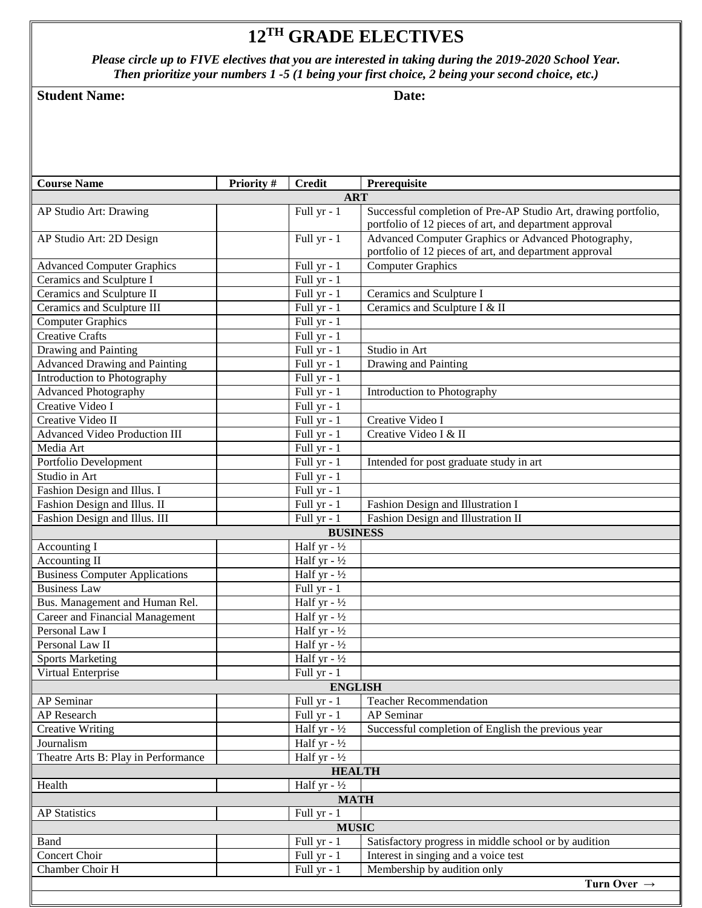## **12 TH GRADE ELECTIVES**

*Please circle up to FIVE electives that you are interested in taking during the 2019-2020 School Year. Then prioritize your numbers 1 -5 (1 being your first choice, 2 being your second choice, etc.)*

## **Student Name:** Date: **Date:**

| <b>Course Name</b>                    | <b>Priority #</b> | <b>Credit</b>           | Prerequisite                                                                                                             |  |  |
|---------------------------------------|-------------------|-------------------------|--------------------------------------------------------------------------------------------------------------------------|--|--|
|                                       |                   | <b>ART</b>              |                                                                                                                          |  |  |
| AP Studio Art: Drawing                |                   | Full yr - 1             | Successful completion of Pre-AP Studio Art, drawing portfolio,<br>portfolio of 12 pieces of art, and department approval |  |  |
| AP Studio Art: 2D Design              |                   | Full yr - 1             | Advanced Computer Graphics or Advanced Photography,<br>portfolio of 12 pieces of art, and department approval            |  |  |
| <b>Advanced Computer Graphics</b>     |                   | Full yr - 1             | <b>Computer Graphics</b>                                                                                                 |  |  |
| Ceramics and Sculpture I              |                   | Full yr - 1             |                                                                                                                          |  |  |
| Ceramics and Sculpture II             |                   | Full yr $-1$            | Ceramics and Sculpture I                                                                                                 |  |  |
| Ceramics and Sculpture III            |                   | Full yr - 1             | Ceramics and Sculpture I & II                                                                                            |  |  |
| <b>Computer Graphics</b>              |                   | Full yr - 1             |                                                                                                                          |  |  |
| <b>Creative Crafts</b>                |                   | Full yr - 1             |                                                                                                                          |  |  |
| Drawing and Painting                  |                   | Full yr - 1             | Studio in Art                                                                                                            |  |  |
| <b>Advanced Drawing and Painting</b>  |                   | Full yr - 1             | Drawing and Painting                                                                                                     |  |  |
| Introduction to Photography           |                   | Full yr - 1             |                                                                                                                          |  |  |
| <b>Advanced Photography</b>           |                   | Full $yr - 1$           | <b>Introduction to Photography</b>                                                                                       |  |  |
| Creative Video I                      |                   | Full yr - 1             |                                                                                                                          |  |  |
| Creative Video II                     |                   | Full $yr - 1$           | Creative Video I                                                                                                         |  |  |
| <b>Advanced Video Production III</b>  |                   | Full yr - 1             | Creative Video I & II                                                                                                    |  |  |
| Media Art                             |                   | Full yr - 1             |                                                                                                                          |  |  |
| Portfolio Development                 |                   | Full yr - 1             | Intended for post graduate study in art                                                                                  |  |  |
| Studio in Art                         |                   | Full yr - 1             |                                                                                                                          |  |  |
| Fashion Design and Illus. I           |                   | Full yr - 1             |                                                                                                                          |  |  |
| Fashion Design and Illus. II          |                   | Full yr - 1             | Fashion Design and Illustration I                                                                                        |  |  |
| Fashion Design and Illus. III         |                   | Full yr $-1$            | Fashion Design and Illustration II                                                                                       |  |  |
|                                       |                   | <b>BUSINESS</b>         |                                                                                                                          |  |  |
| Accounting I                          |                   | Half yr - $\frac{1}{2}$ |                                                                                                                          |  |  |
| Accounting II                         |                   | Half yr $-1/2$          |                                                                                                                          |  |  |
| <b>Business Computer Applications</b> |                   | Half yr $-1/2$          |                                                                                                                          |  |  |
| <b>Business Law</b>                   |                   | Full $yr - 1$           |                                                                                                                          |  |  |
| Bus. Management and Human Rel.        |                   | Half yr - $\frac{1}{2}$ |                                                                                                                          |  |  |
| Career and Financial Management       |                   | Half yr - $\frac{1}{2}$ |                                                                                                                          |  |  |
| Personal Law I                        |                   | Half yr $-1/2$          |                                                                                                                          |  |  |
| Personal Law II                       |                   | Half yr $-1/2$          |                                                                                                                          |  |  |
| <b>Sports Marketing</b>               |                   | Half yr - $\frac{1}{2}$ |                                                                                                                          |  |  |
| Virtual Enterprise                    |                   | Full yr - 1             |                                                                                                                          |  |  |
| <b>ENGLISH</b>                        |                   |                         |                                                                                                                          |  |  |
| AP Seminar                            |                   | Full yr - 1             | <b>Teacher Recommendation</b>                                                                                            |  |  |
| AP Research                           |                   | Full yr - 1             | <b>AP</b> Seminar                                                                                                        |  |  |
| <b>Creative Writing</b>               |                   | Half yr - $\frac{1}{2}$ | Successful completion of English the previous year                                                                       |  |  |
| Journalism                            |                   | Half yr - $\frac{1}{2}$ |                                                                                                                          |  |  |
| Theatre Arts B: Play in Performance   |                   | Half yr - $\frac{1}{2}$ |                                                                                                                          |  |  |
|                                       |                   | <b>HEALTH</b>           |                                                                                                                          |  |  |
| Health                                |                   | Half yr - $\frac{1}{2}$ |                                                                                                                          |  |  |
|                                       |                   | <b>MATH</b>             |                                                                                                                          |  |  |
| Full yr - 1<br><b>AP Statistics</b>   |                   |                         |                                                                                                                          |  |  |
|                                       |                   | <b>MUSIC</b>            |                                                                                                                          |  |  |
| Band                                  |                   | Full yr - 1             | Satisfactory progress in middle school or by audition                                                                    |  |  |
| Concert Choir                         |                   | Full yr - 1             | Interest in singing and a voice test                                                                                     |  |  |
| Chamber Choir H                       |                   | Full yr - 1             | Membership by audition only                                                                                              |  |  |
|                                       |                   |                         | Turn Over $\rightarrow$                                                                                                  |  |  |